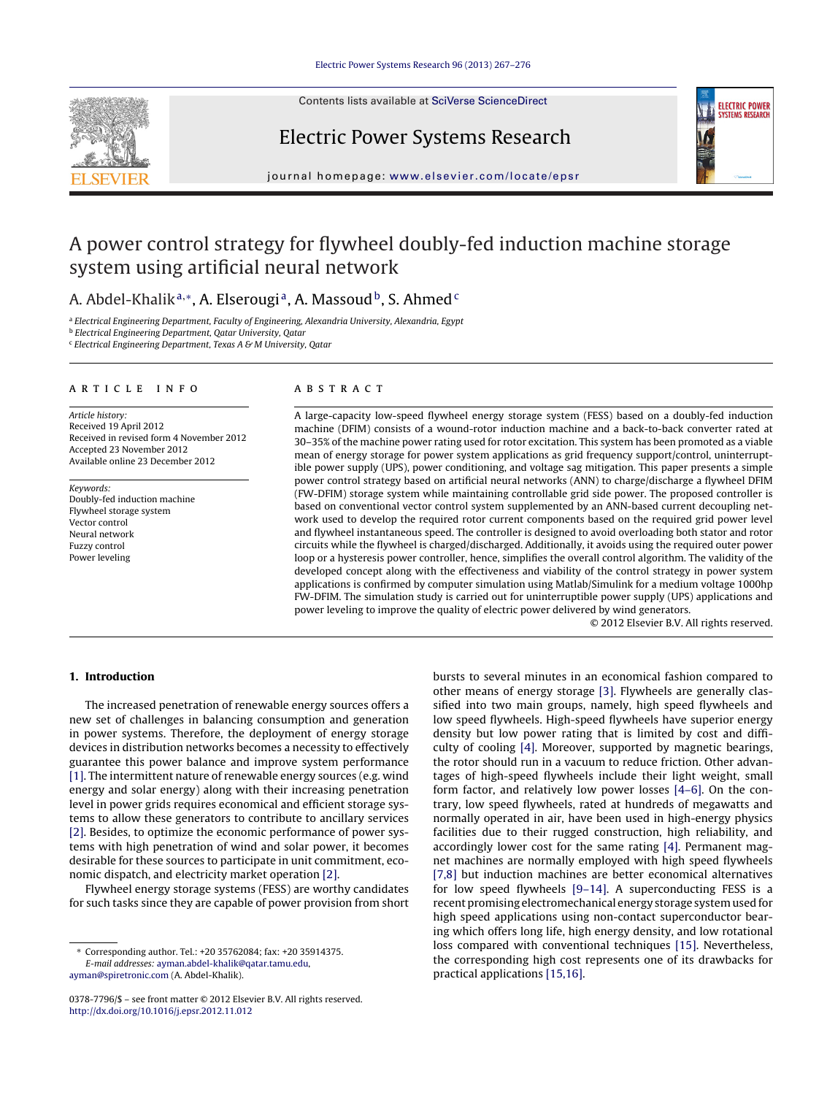

Contents lists available at SciVerse [ScienceDirect](http://www.sciencedirect.com/science/journal/03787796)

## Electric Power Systems Research



jour nal homepage: [www.elsevier.com/locate/epsr](http://www.elsevier.com/locate/epsr)

## A power control strategy for flywheel doubly-fed induction machine storage system using artificial neural network

### A. Abdel-Khalik<sup>a,\*</sup>, A. Elserougi<sup>a</sup>, A. Massoud<sup>b</sup>, S. Ahmed<sup>c</sup>

a Electrical Engineering Department, Faculty of Engineering, Alexandria University, Alexandria, Egypt

<sup>b</sup> Electrical Engineering Department, Qatar University, Qatar

 $\epsilon$  Electrical Engineering Department, Texas A & M University, Oatar

#### a r t i c l e i n f o

Article history: Received 19 April 2012 Received in revised form 4 November 2012 Accepted 23 November 2012 Available online 23 December 2012

Keywords: Doubly-fed induction machine Flywheel storage system Vector control Neural network Fuzzy control Power leveling

#### A B S T R A C T

A large-capacity low-speed flywheel energy storage system (FESS) based on a doubly-fed induction machine (DFIM) consists of a wound-rotor induction machine and a back-to-back converter rated at 30–35% of the machine power rating used for rotor excitation. This system has been promoted as a viable mean of energy storage for power system applications as grid frequency support/control, uninterruptible power supply (UPS), power conditioning, and voltage sag mitigation. This paper presents a simple power control strategy based on artificial neural networks (ANN) to charge/discharge a flywheel DFIM (FW-DFIM) storage system while maintaining controllable grid side power. The proposed controller is based on conventional vector control system supplemented by an ANN-based current decoupling network used to develop the required rotor current components based on the required grid power level and flywheel instantaneous speed. The controller is designed to avoid overloading both stator and rotor circuits while the flywheel is charged/discharged. Additionally, it avoids using the required outer power loop or a hysteresis power controller, hence, simplifies the overall control algorithm. The validity of the developed concept along with the effectiveness and viability of the control strategy in power system applications is confirmed by computer simulation using Matlab/Simulink for a medium voltage 1000hp FW-DFIM. The simulation study is carried out for uninterruptible power supply (UPS) applications and power leveling to improve the quality of electric power delivered by wind generators.

© 2012 Elsevier B.V. All rights reserved.

#### **1. Introduction**

The increased penetration of renewable energy sources offers a new set of challenges in balancing consumption and generation in power systems. Therefore, the deployment of energy storage devices in distribution networks becomes a necessity to effectively guarantee this power balance and improve system performance [\[1\].](#page--1-0) The intermittent nature of renewable energy sources (e.g. wind energy and solar energy) along with their increasing penetration level in power grids requires economical and efficient storage systems to allow these generators to contribute to ancillary services [\[2\].](#page--1-0) Besides, to optimize the economic performance of power systems with high penetration of wind and solar power, it becomes desirable for these sources to participate in unit commitment, economic dispatch, and electricity market operation [\[2\].](#page--1-0)

Flywheel energy storage systems (FESS) are worthy candidates for such tasks since they are capable of power provision from short

[ayman@spiretronic.com](mailto:ayman@spiretronic.com) (A. Abdel-Khalik).

bursts to several minutes in an economical fashion compared to other means of energy storage [\[3\].](#page--1-0) Flywheels are generally classified into two main groups, namely, high speed flywheels and low speed flywheels. High-speed flywheels have superior energy density but low power rating that is limited by cost and difficulty of cooling [\[4\].](#page--1-0) Moreover, supported by magnetic bearings, the rotor should run in a vacuum to reduce friction. Other advantages of high-speed flywheels include their light weight, small form factor, and relatively low power losses [\[4–6\].](#page--1-0) On the contrary, low speed flywheels, rated at hundreds of megawatts and normally operated in air, have been used in high-energy physics facilities due to their rugged construction, high reliability, and accordingly lower cost for the same rating [\[4\].](#page--1-0) Permanent magnet machines are normally employed with high speed flywheels [\[7,8\]](#page--1-0) but induction machines are better economical alternatives for low speed flywheels [\[9–14\].](#page--1-0) A superconducting FESS is a recent promising electromechanical energy storage system used for high speed applications using non-contact superconductor bearing which offers long life, high energy density, and low rotational loss compared with conventional techniques [\[15\].](#page--1-0) Nevertheless, the corresponding high cost represents one of its drawbacks for practical applications [\[15,16\].](#page--1-0)

<sup>∗</sup> Corresponding author. Tel.: +20 35762084; fax: +20 35914375. E-mail addresses: [ayman.abdel-khalik@qatar.tamu.edu,](mailto:ayman.abdel-khalik@qatar.tamu.edu)

<sup>0378-7796/\$</sup> – see front matter © 2012 Elsevier B.V. All rights reserved. [http://dx.doi.org/10.1016/j.epsr.2012.11.012](dx.doi.org/10.1016/j.epsr.2012.11.012)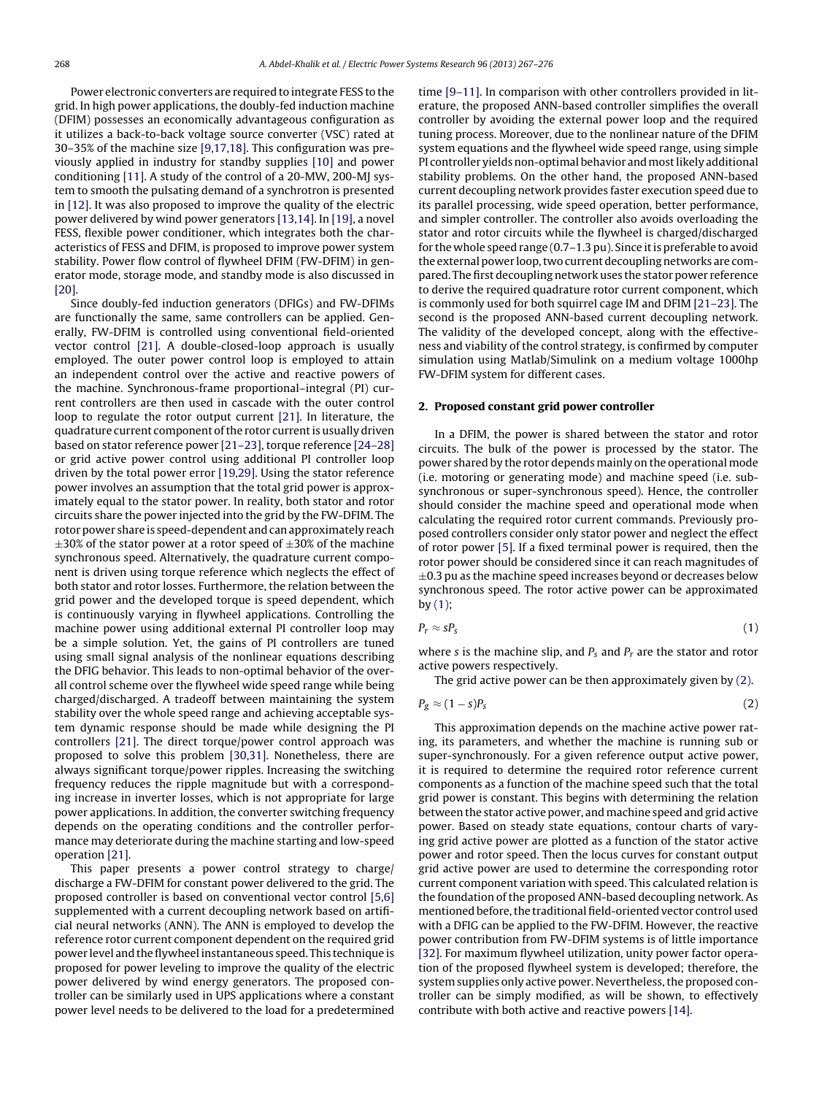Power electronic converters are required to integrate FESS to the grid. In high power applications, the doubly-fed induction machine (DFIM) possesses an economically advantageous configuration as it utilizes a back-to-back voltage source converter (VSC) rated at 30–35% of the machine size [\[9,17,18\].](#page--1-0) This configuration was previously applied in industry for standby supplies [\[10\]](#page--1-0) and power conditioning [\[11\].](#page--1-0) A study of the control of a 20-MW, 200-MJ system to smooth the pulsating demand of a synchrotron is presented in [\[12\].](#page--1-0) It was also proposed to improve the quality of the electric power delivered by wind power generators [\[13,14\].](#page--1-0) In [\[19\],](#page--1-0) a novel FESS, flexible power conditioner, which integrates both the characteristics of FESS and DFIM, is proposed to improve power system stability. Power flow control of flywheel DFIM (FW-DFIM) in generator mode, storage mode, and standby mode is also discussed in [\[20\].](#page--1-0)

Since doubly-fed induction generators (DFIGs) and FW-DFIMs are functionally the same, same controllers can be applied. Generally, FW-DFIM is controlled using conventional field-oriented vector control [\[21\].](#page--1-0) A double-closed-loop approach is usually employed. The outer power control loop is employed to attain an independent control over the active and reactive powers of the machine. Synchronous-frame proportional–integral (PI) current controllers are then used in cascade with the outer control loop to regulate the rotor output current [\[21\].](#page--1-0) In literature, the quadrature current component ofthe rotor currentis usually driven based on stator reference power [\[21–23\],](#page--1-0) torque reference [\[24–28\]](#page--1-0) or grid active power control using additional PI controller loop driven by the total power error [\[19,29\].](#page--1-0) Using the stator reference power involves an assumption that the total grid power is approximately equal to the stator power. In reality, both stator and rotor circuits share the power injected into the grid by the FW-DFIM. The rotor power share is speed-dependent and can approximately reach  $\pm 30\%$  of the stator power at a rotor speed of  $\pm 30\%$  of the machine synchronous speed. Alternatively, the quadrature current component is driven using torque reference which neglects the effect of both stator and rotor losses. Furthermore, the relation between the grid power and the developed torque is speed dependent, which is continuously varying in flywheel applications. Controlling the machine power using additional external PI controller loop may be a simple solution. Yet, the gains of PI controllers are tuned using small signal analysis of the nonlinear equations describing the DFIG behavior. This leads to non-optimal behavior of the overall control scheme over the flywheel wide speed range while being charged/discharged. A tradeoff between maintaining the system stability over the whole speed range and achieving acceptable system dynamic response should be made while designing the PI controllers [\[21\].](#page--1-0) The direct torque/power control approach was proposed to solve this problem [\[30,31\].](#page--1-0) Nonetheless, there are always significant torque/power ripples. Increasing the switching frequency reduces the ripple magnitude but with a corresponding increase in inverter losses, which is not appropriate for large power applications. In addition, the converter switching frequency depends on the operating conditions and the controller performance may deteriorate during the machine starting and low-speed operation [\[21\].](#page--1-0)

This paper presents a power control strategy to charge/ discharge a FW-DFIM for constant power delivered to the grid. The proposed controller is based on conventional vector control [\[5,6\]](#page--1-0) supplemented with a current decoupling network based on artificial neural networks (ANN). The ANN is employed to develop the reference rotor current component dependent on the required grid power level and the flywheel instantaneous speed. This technique is proposed for power leveling to improve the quality of the electric power delivered by wind energy generators. The proposed controller can be similarly used in UPS applications where a constant power level needs to be delivered to the load for a predetermined time [\[9–11\].](#page--1-0) In comparison with other controllers provided in literature, the proposed ANN-based controller simplifies the overall controller by avoiding the external power loop and the required tuning process. Moreover, due to the nonlinear nature of the DFIM system equations and the flywheel wide speed range, using simple PI controller yields non-optimal behavior and most likely additional stability problems. On the other hand, the proposed ANN-based current decoupling network provides faster execution speed due to its parallel processing, wide speed operation, better performance, and simpler controller. The controller also avoids overloading the stator and rotor circuits while the flywheel is charged/discharged for the whole speed range  $(0.7-1.3 \text{ pu})$ . Since it is preferable to avoid the external power loop, two current decoupling networks are compared. The first decoupling network uses the stator power reference to derive the required quadrature rotor current component, which is commonly used for both squirrel cage IM and DFIM [\[21–23\].](#page--1-0) The second is the proposed ANN-based current decoupling network. The validity of the developed concept, along with the effectiveness and viability of the control strategy, is confirmed by computer simulation using Matlab/Simulink on a medium voltage 1000hp FW-DFIM system for different cases.

#### **2. Proposed constant grid power controller**

In a DFIM, the power is shared between the stator and rotor circuits. The bulk of the power is processed by the stator. The power shared by the rotor depends mainly on the operational mode (i.e. motoring or generating mode) and machine speed (i.e. subsynchronous or super-synchronous speed). Hence, the controller should consider the machine speed and operational mode when calculating the required rotor current commands. Previously proposed controllers consider only stator power and neglect the effect of rotor power [\[5\].](#page--1-0) If a fixed terminal power is required, then the rotor power should be considered since it can reach magnitudes of  $\pm$ 0.3 pu as the machine speed increases beyond or decreases below synchronous speed. The rotor active power can be approximated by (1);

$$
P_r \approx s P_s \tag{1}
$$

where s is the machine slip, and  $P_s$  and  $P_r$  are the stator and rotor active powers respectively.

The grid active power can be then approximately given by (2).

$$
P_g \approx (1-s)P_s \tag{2}
$$

This approximation depends on the machine active power rating, its parameters, and whether the machine is running sub or super-synchronously. For a given reference output active power, it is required to determine the required rotor reference current components as a function of the machine speed such that the total grid power is constant. This begins with determining the relation between the stator active power, and machine speed and grid active power. Based on steady state equations, contour charts of varying grid active power are plotted as a function of the stator active power and rotor speed. Then the locus curves for constant output grid active power are used to determine the corresponding rotor current component variation with speed. This calculated relation is the foundation of the proposed ANN-based decoupling network. As mentioned before, the traditional field-oriented vector control used with a DFIG can be applied to the FW-DFIM. However, the reactive power contribution from FW-DFIM systems is of little importance [\[32\].](#page--1-0) For maximum flywheel utilization, unity power factor operation of the proposed flywheel system is developed; therefore, the system supplies only active power. Nevertheless, the proposed controller can be simply modified, as will be shown, to effectively contribute with both active and reactive powers [\[14\].](#page--1-0)